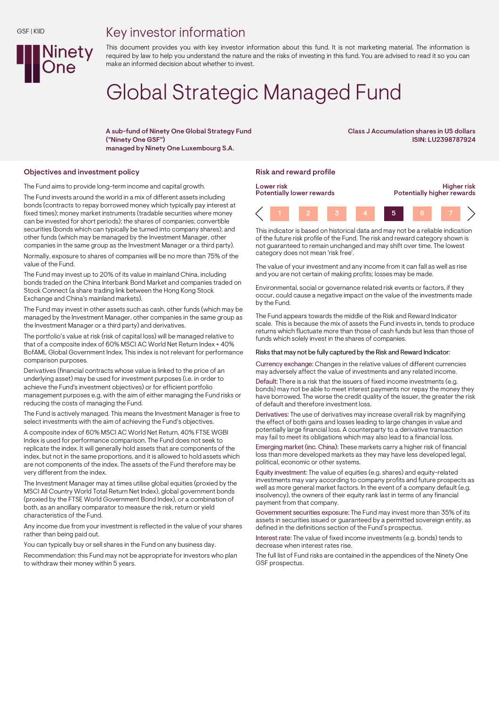## Key investor information



This document provides you with key investor information about this fund. It is not marketing material. The information is required by law to help you understand the nature and the risks of investing in this fund. You are advised to read it so you can make an informed decision about whether to invest.

# Global Strategic Managed Fund

A sub-fund of Ninety One Global Strategy Fund ("Ninety One GSF") managed by Ninety One Luxembourg S.A.

Class J Accumulation shares in US dollars ISIN: LU2398787924

### Objectives and investment policy **Risk and reward profile** Risk and reward profile

The Fund aims to provide long-term income and capital growth.

The Fund invests around the world in a mix of different assets including bonds (contracts to repay borrowed money which typically pay interest at fixed times); money market instruments (tradable securities where money can be invested for short periods); the shares of companies; convertible securities (bonds which can typically be turned into company shares); and other funds (which may be managed by the Investment Manager, other companies in the same group as the Investment Manager or a third party).

Normally, exposure to shares of companies will be no more than 75% of the value of the Fund.

The Fund may invest up to 20% of its value in mainland China, including bonds traded on the China Interbank Bond Market and companies traded on Stock Connect (a share trading link between the Hong Kong Stock Exchange and China's mainland markets).

The Fund may invest in other assets such as cash, other funds (which may be managed by the Investment Manager, other companies in the same group as the Investment Manager or a third party) and derivatives.

The portfolio's value at risk (risk of capital loss) will be managed relative to that of a composite index of 60% MSCI AC World Net Return Index + 40% BofAML Global Government Index. This index is not relevant for performance comparison purposes.

Derivatives (financial contracts whose value is linked to the price of an underlying asset) may be used for investment purposes (i.e. in order to achieve the Fund's investment objectives) or for efficient portfolio management purposes e.g. with the aim of either managing the Fund risks or reducing the costs of managing the Fund.

The Fund is actively managed. This means the Investment Manager is free to select investments with the aim of achieving the Fund's objectives.

A composite index of 60% MSCI AC World Net Return, 40% FTSE WGBI Index is used for performance comparison. The Fund does not seek to replicate the index. It will generally hold assets that are components of the index, but not in the same proportions, and it is allowed to hold assets which are not components of the index. The assets of the Fund therefore may be very different from the index.

The Investment Manager may at times utilise global equities (proxied by the MSCI All Country World Total Return Net Index), global government bonds (proxied by the FTSE World Government Bond Index), or a combination of both, as an ancillary comparator to measure the risk, return or yield characteristics of the Fund.

Any income due from your investment is reflected in the value of your shares rather than being paid out.

You can typically buy or sell shares in the Fund on any business day.

Recommendation: this Fund may not be appropriate for investors who plan to withdraw their money within 5 years.



This indicator is based on historical data and may not be a reliable indication of the future risk profile of the Fund. The risk and reward category shown is not guaranteed to remain unchanged and may shift over time. The lowest category does not mean 'risk free'.

The value of your investment and any income from it can fall as well as rise and you are not certain of making profits; losses may be made.

Environmental, social or governance related risk events or factors, if they occur, could cause a negative impact on the value of the investments made by the Fund.

The Fund appears towards the middle of the Risk and Reward Indicator scale. This is because the mix of assets the Fund invests in, tends to produce returns which fluctuate more than those of cash funds but less than those of funds which solely invest in the shares of companies.

### Risks that may not be fully captured by the Risk and Reward Indicator:

Currency exchange: Changes in the relative values of different currencies may adversely affect the value of investments and any related income.

Default: There is a risk that the issuers of fixed income investments (e.g. bonds) may not be able to meet interest payments nor repay the money they have borrowed. The worse the credit quality of the issuer, the greater the risk of default and therefore investment loss.

Derivatives: The use of derivatives may increase overall risk by magnifying the effect of both gains and losses leading to large changes in value and potentially large financial loss. A counterparty to a derivative transaction may fail to meet its obligations which may also lead to a financial loss.

Emerging market (inc. China): These markets carry a higher risk of financial loss than more developed markets as they may have less developed legal, political, economic or other systems.

Equity investment: The value of equities (e.g. shares) and equity-related investments may vary according to company profits and future prospects as well as more general market factors. In the event of a company default (e.g. insolvency), the owners of their equity rank last in terms of any financial payment from that company.

Government securities exposure: The Fund may invest more than 35% of its assets in securities issued or guaranteed by a permitted sovereign entity, as defined in the definitions section of the Fund's prospectus.

Interest rate: The value of fixed income investments (e.g. bonds) tends to decrease when interest rates rise.

The full list of Fund risks are contained in the appendices of the Ninety One GSF prospectus.